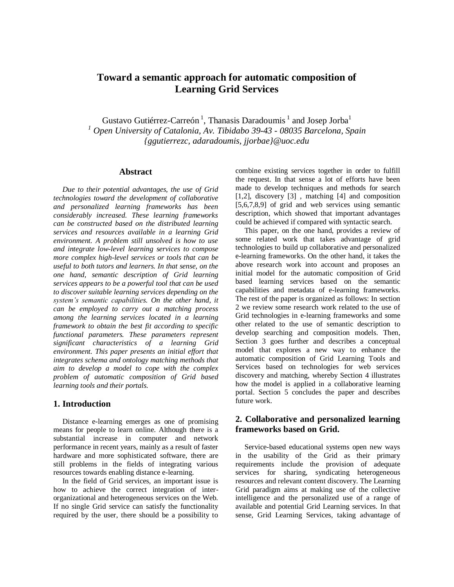# **Toward a semantic approach for automatic composition of Learning Grid Services**

Gustavo Gutiérrez-Carreón<sup>1</sup>, Thanasis Daradoumis<sup>1</sup> and Josep Jorba<sup>1</sup> *<sup>1</sup> Open University of Catalonia, Av. Tibidabo 39-43 - 08035 Barcelona, Spain {ggutierrezc, adaradoumis, jjorbae}@uoc.edu*

### **Abstract**

*Due to their potential advantages, the use of Grid technologies toward the development of collaborative and personalized learning frameworks has been considerably increased. These learning frameworks can be constructed based on the distributed learning services and resources available in a learning Grid environment. A problem still unsolved is how to use and integrate low-level learning services to compose more complex high-level services or tools that can be useful to both tutors and learners. In that sense, on the one hand, semantic description of Grid learning services appears to be a powerful tool that can be used to discover suitable learning services depending on the system's semantic capabilities. On the other hand, it can be employed to carry out a matching process among the learning services located in a learning framework to obtain the best fit according to specific functional parameters. These parameters represent significant characteristics of a learning Grid environment. This paper presents an initial effort that integrates schema and ontology matching methods that aim to develop a model to cope with the complex problem of automatic composition of Grid based learning tools and their portals.*

### **1. Introduction**

Distance e-learning emerges as one of promising means for people to learn online. Although there is a substantial increase in computer and network performance in recent years, mainly as a result of faster hardware and more sophisticated software, there are still problems in the fields of integrating various resources towards enabling distance e-learning.

In the field of Grid services, an important issue is how to achieve the correct integration of interorganizational and heterogeneous services on the Web. If no single Grid service can satisfy the functionality required by the user, there should be a possibility to

combine existing services together in order to fulfill the request. In that sense a lot of efforts have been made to develop techniques and methods for search [1,2], discovery [3] , matching [4] and composition [5,6,7,8,9] of grid and web services using semantic description, which showed that important advantages could be achieved if compared with syntactic search.

This paper, on the one hand, provides a review of some related work that takes advantage of grid technologies to build up collaborative and personalized e-learning frameworks. On the other hand, it takes the above research work into account and proposes an initial model for the automatic composition of Grid based learning services based on the semantic capabilities and metadata of e-learning frameworks. The rest of the paper is organized as follows: In section 2 we review some research work related to the use of Grid technologies in e-learning frameworks and some other related to the use of semantic description to develop searching and composition models. Then, Section 3 goes further and describes a conceptual model that explores a new way to enhance the automatic composition of Grid Learning Tools and Services based on technologies for web services discovery and matching, whereby Section 4 illustrates how the model is applied in a collaborative learning portal. Section 5 concludes the paper and describes future work.

# **2. Collaborative and personalized learning frameworks based on Grid.**

Service-based educational systems open new ways in the usability of the Grid as their primary requirements include the provision of adequate services for sharing, syndicating heterogeneous resources and relevant content discovery. The Learning Grid paradigm aims at making use of the collective intelligence and the personalized use of a range of available and potential Grid Learning services. In that sense, Grid Learning Services, taking advantage of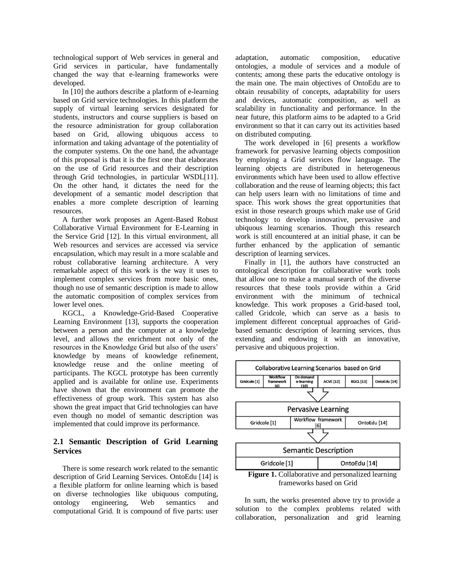technological support of Web services in general and Grid services in particular, have fundamentally changed the way that e-learning frameworks were developed.

In [10] the authors describe a platform of e-learning based on Grid service technologies. In this platform the supply of virtual learning services designated for students, instructors and course suppliers is based on the resource administration for group collaboration based on Grid, allowing ubiquous access to information and taking advantage of the potentiality of the computer systems. On the one hand, the advantage of this proposal is that it is the first one that elaborates on the use of Grid resources and their description through Grid technologies, in particular WSDL[11]. On the other hand, it dictates the need for the development of a semantic model description that enables a more complete description of learning resources.

A further work proposes an Agent-Based Robust Collaborative Virtual Environment for E-Learning in the Service Grid [12]. In this virtual environment, all Web resources and services are accessed via service encapsulation, which may result in a more scalable and robust collaborative learning architecture. A very remarkable aspect of this work is the way it uses to implement complex services from more basic ones, though no use of semantic description is made to allow the automatic composition of complex services from lower level ones.

KGCL, a Knowledge-Grid-Based Cooperative Learning Environment [13], supports the cooperation between a person and the computer at a knowledge level, and allows the enrichment not only of the resources in the Knowledge Grid but also of the users' knowledge by means of knowledge refinement, knowledge reuse and the online meeting of participants. The KGCL prototype has been currently applied and is available for online use. Experiments have shown that the environment can promote the effectiveness of group work. This system has also shown the great impact that Grid technologies can have even though no model of semantic description was implemented that could improve its performance.

# **2.1 Semantic Description of Grid Learning Services**

There is some research work related to the semantic description of Grid Learning Services. OntoEdu [14] is a flexible platform for online learning which is based on diverse technologies like ubiquous computing, ontology engineering, Web semantics and computational Grid. It is compound of five parts: user

adaptation, automatic composition, educative ontologies, a module of services and a module of contents; among these parts the educative ontology is the main one. The main objectives of OntoEdu are to obtain reusability of concepts, adaptability for users and devices, automatic composition, as well as scalability in functionality and performance. In the near future, this platform aims to be adapted to a Grid environment so that it can carry out its activities based on distributed computing.

The work developed in [6] presents a workflow framework for pervasive learning objects composition by employing a Grid services flow language. The learning objects are distributed in heterogeneous environments which have been used to allow effective collaboration and the reuse of learning objects; this fact can help users learn with no limitations of time and space. This work shows the great opportunities that exist in those research groups which make use of Grid technology to develop innovative, pervasive and ubiquous learning scenarios. Though this research work is still encountered at an initial phase, it can be further enhanced by the application of semantic description of learning services.

Finally in [1], the authors have constructed an ontological description for collaborative work tools that allow one to make a manual search of the diverse resources that these tools provide within a Grid environment with the minimum of technical knowledge. This work proposes a Grid-based tool, called Gridcole, which can serve as a basis to implement different conceptual approaches of Gridbased semantic description of learning services, thus extending and endowing it with an innovative, pervasive and ubiquous projection.



In sum, the works presented above try to provide a solution to the complex problems related with collaboration, personalization and grid learning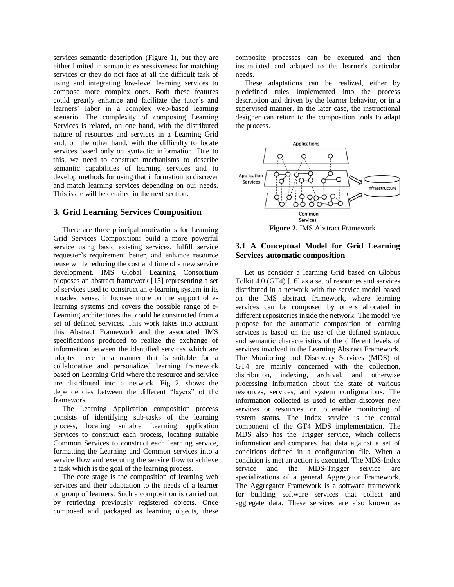services semantic description (Figure 1), but they are either limited in semantic expressiveness for matching services or they do not face at all the difficult task of using and integrating low-level learning services to compose more complex ones. Both these features could greatly enhance and facilitate the tutor's and learners' labor in a complex web-based learning scenario. The complexity of composing Learning Services is related, on one hand, with the distributed nature of resources and services in a Learning Grid and, on the other hand, with the difficulty to locate services based only on syntactic information. Due to this, we need to construct mechanisms to describe semantic capabilities of learning services and to develop methods for using that information to discover and match learning services depending on our needs. This issue will be detailed in the next section.

# **3. Grid Learning Services Composition**

There are three principal motivations for Learning Grid Services Composition: build a more powerful service using basic existing services, fulfill service requester's requirement better, and enhance resource reuse while reducing the cost and time of a new service development. IMS Global Learning Consortium proposes an abstract framework [15] representing a set of services used to construct an e-learning system in its broadest sense; it focuses more on the support of elearning systems and covers the possible range of e-Learning architectures that could be constructed from a set of defined services. This work takes into account this Abstract Framework and the associated IMS specifications produced to realize the exchange of information between the identified services which are adopted here in a manner that is suitable for a collaborative and personalized learning framework based on Learning Grid where the resource and service are distributed into a network. Fig 2. shows the dependencies between the different "layers" of the framework.

The Learning Application composition process consists of identifying sub-tasks of the learning process, locating suitable Learning application Services to construct each process, locating suitable Common Services to construct each learning service, formatting the Learning and Common services into a service flow and executing the service flow to achieve a task which is the goal of the learning process.

The core stage is the composition of learning web services and their adaptation to the needs of a learner or group of learners. Such a composition is carried out by retrieving previously registered objects. Once composed and packaged as learning objects, these

composite processes can be executed and then instantiated and adapted to the learner's particular needs.

These adaptations can be realized, either by predefined rules implemented into the process description and driven by the learner behavior, or in a supervised manner. In the later case, the instructional designer can return to the composition tools to adapt the process.



### **3.1 A Conceptual Model for Grid Learning Services automatic composition**

Let us consider a learning Grid based on Globus Tolkit 4.0 (GT4) [16] as a set of resources and services distributed in a network with the service model based on the IMS abstract framework, where learning services can be composed by others allocated in different repositories inside the network. The model we propose for the automatic composition of learning services is based on the use of the defined syntactic and semantic characteristics of the different levels of services involved in the Learning Abstract Framework. The Monitoring and Discovery Services (MDS) of GT4 are mainly concerned with the collection, distribution, indexing, archival, and otherwise processing information about the state of various resources, services, and system configurations. The information collected is used to either discover new services or resources, or to enable monitoring of system status. The Index service is the central component of the GT4 MDS implementation. The MDS also has the Trigger service, which collects information and compares that data against a set of conditions defined in a configuration file. When a condition is met an action is executed. The MDS-Index service and the MDS-Trigger service are specializations of a general Aggregator Framework. The Aggregator Framework is a software framework for building software services that collect and aggregate data. These services are also known as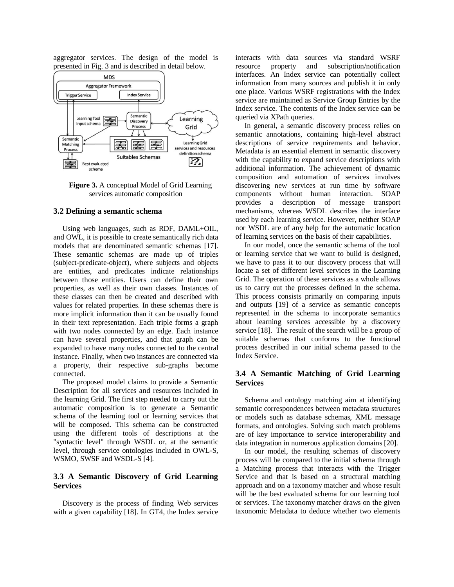aggregator services. The design of the model is presented in Fig. 3 and is described in detail below.



**Figure 3.** A conceptual Model of Grid Learning services automatic composition

#### **3.2 Defining a semantic schema**

Using web languages, such as RDF, DAML+OIL, and OWL, it is possible to create semantically rich data models that are denominated semantic schemas [17]. These semantic schemas are made up of triples (subject-predicate-object), where subjects and objects are entities, and predicates indicate relationships between those entities. Users can define their own properties, as well as their own classes. Instances of these classes can then be created and described with values for related properties. In these schemas there is more implicit information than it can be usually found in their text representation. Each triple forms a graph with two nodes connected by an edge. Each instance can have several properties, and that graph can be expanded to have many nodes connected to the central instance. Finally, when two instances are connected via a property, their respective sub-graphs become connected.

The proposed model claims to provide a Semantic Description for all services and resources included in the learning Grid. The first step needed to carry out the automatic composition is to generate a Semantic schema of the learning tool or learning services that will be composed. This schema can be constructed using the different tools of descriptions at the "syntactic level" through WSDL or, at the semantic level, through service ontologies included in OWL-S, WSMO, SWSF and WSDL-S [4].

#### **3.3 A Semantic Discovery of Grid Learning Services**

Discovery is the process of finding Web services with a given capability [18]. In GT4, the Index service interacts with data sources via standard WSRF resource property and subscription/notification interfaces. An Index service can potentially collect information from many sources and publish it in only one place. Various WSRF registrations with the Index service are maintained as Service Group Entries by the Index service. The contents of the Index service can be queried via XPath queries.

In general, a semantic discovery process relies on semantic annotations, containing high-level abstract descriptions of service requirements and behavior. Metadata is an essential element in semantic discovery with the capability to expand service descriptions with additional information. The achievement of dynamic composition and automation of services involves discovering new services at run time by software components without human interaction. SOAP provides a description of message transport mechanisms, whereas WSDL describes the interface used by each learning service. However, neither SOAP nor WSDL are of any help for the automatic location of learning services on the basis of their capabilities.

In our model, once the semantic schema of the tool or learning service that we want to build is designed, we have to pass it to our discovery process that will locate a set of different level services in the Learning Grid. The operation of these services as a whole allows us to carry out the processes defined in the schema. This process consists primarily on comparing inputs and outputs [19] of a service as semantic concepts represented in the schema to incorporate semantics about learning services accessible by a discovery service [18]. The result of the search will be a group of suitable schemas that conforms to the functional process described in our initial schema passed to the Index Service.

#### **3.4 A Semantic Matching of Grid Learning Services**

Schema and ontology matching aim at identifying semantic correspondences between metadata structures or models such as database schemas, XML message formats, and ontologies. Solving such match problems are of key importance to service interoperability and data integration in numerous application domains [20].

In our model, the resulting schemas of discovery process will be compared to the initial schema through a Matching process that interacts with the Trigger Service and that is based on a structural matching approach and on a taxonomy matcher and whose result will be the best evaluated schema for our learning tool or services. The taxonomy matcher draws on the given taxonomic Metadata to deduce whether two elements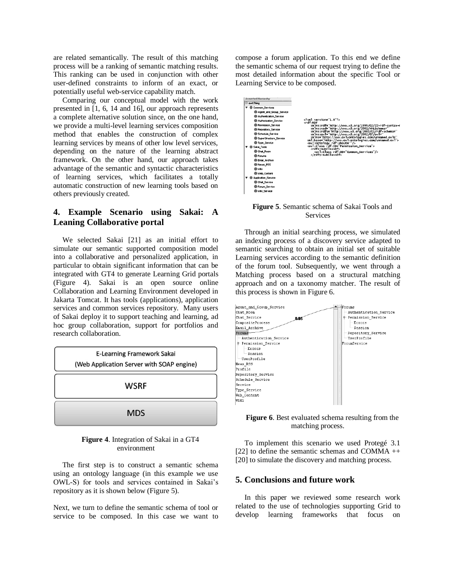are related semantically. The result of this matching process will be a ranking of semantic matching results. This ranking can be used in conjunction with other user-defined constraints to inform of an exact, or potentially useful web-service capability match.

Comparing our conceptual model with the work presented in [1, 6, 14 and 16], our approach represents a complete alternative solution since, on the one hand, we provide a multi-level learning services composition method that enables the construction of complex learning services by means of other low level services, depending on the nature of the learning abstract framework. On the other hand, our approach takes advantage of the semantic and syntactic characteristics of learning services, which facilitates a totally automatic construction of new learning tools based on others previously created.

# **4. Example Scenario using Sakai: A Leaning Collaborative portal**

We selected Sakai [21] as an initial effort to simulate our semantic supported composition model into a collaborative and personalized application, in particular to obtain significant information that can be integrated with GT4 to generate Learning Grid portals (Figure 4). Sakai is an open source online Collaboration and Learning Environment developed in Jakarta Tomcat. It has tools (applications), application services and common services repository. Many users of Sakai deploy it to support teaching and learning, ad hoc group collaboration, support for portfolios and research collaboration.



#### **Figure 4**. Integration of Sakai in a GT4 environment

The first step is to construct a semantic schema using an ontology language (in this example we use OWL-S) for tools and services contained in Sakai's repository as it is shown below (Figure 5).

Next, we turn to define the semantic schema of tool or service to be composed. In this case we want to

compose a forum application. To this end we define the semantic schema of our request trying to define the most detailed information about the specific Tool or Learning Service to be composed.



**Figure 5**. Semantic schema of Sakai Tools and **Services** 

Through an initial searching process, we simulated an indexing process of a discovery service adapted to semantic searching to obtain an initial set of suitable Learning services according to the semantic definition of the forum tool. Subsequently, we went through a Matching process based on a structural matching approach and on a taxonomy matcher. The result of this process is shown in Figure 6.



**Figure 6**. Best evaluated schema resulting from the matching process.

To implement this scenario we used Protegé 3.1 [22] to define the semantic schemas and COMMA ++ [20] to simulate the discovery and matching process.

#### **5. Conclusions and future work**

In this paper we reviewed some research work related to the use of technologies supporting Grid to develop learning frameworks that focus on